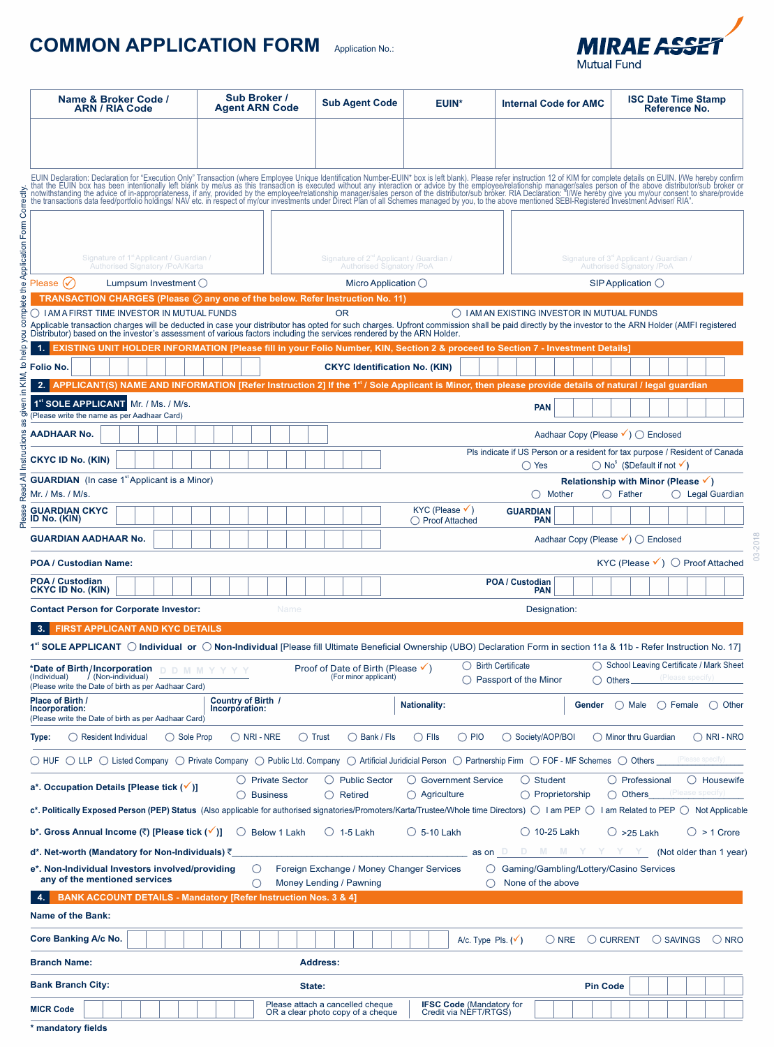# **COMMON APPLICATION FORM** Application No.:



| Name & Broker Code /<br><b>ARN / RIA Code</b>                                                                                                                                                                                                                                              | Sub Broker /<br><b>Agent ARN Code</b>                   | <b>Sub Agent Code</b>                                                                   | <b>EUIN*</b>                                             | <b>Internal Code for AMC</b>                                 | <b>ISC Date Time Stamp</b><br>Reference No.                                                                                                 |
|--------------------------------------------------------------------------------------------------------------------------------------------------------------------------------------------------------------------------------------------------------------------------------------------|---------------------------------------------------------|-----------------------------------------------------------------------------------------|----------------------------------------------------------|--------------------------------------------------------------|---------------------------------------------------------------------------------------------------------------------------------------------|
|                                                                                                                                                                                                                                                                                            |                                                         |                                                                                         |                                                          |                                                              |                                                                                                                                             |
| EUIN Declaration: Declaration for "Execution Only" Transaction (where Employee Unique Identification Number-EUIN* box is left blank). Please refer instruction 12 of KIM for complete details on EUIN. I/We hereby confirm tha                                                             |                                                         |                                                                                         |                                                          |                                                              |                                                                                                                                             |
|                                                                                                                                                                                                                                                                                            |                                                         |                                                                                         |                                                          |                                                              |                                                                                                                                             |
|                                                                                                                                                                                                                                                                                            |                                                         |                                                                                         |                                                          |                                                              |                                                                                                                                             |
| Signature of 1 <sup>*</sup> Applicant / Guardian /<br>Authorised Signatory /PoA/Karta                                                                                                                                                                                                      |                                                         | Signature of 2 <sup>nd</sup> Applicant / Guardian /<br><b>Authorised Signatory /PoA</b> |                                                          |                                                              | Signature of 3 <sup>rd</sup> Applicant / Guardian /<br><b>Authorised Signatory /PoA</b>                                                     |
| Please $(\checkmark)$<br>Lumpsum Investment $\bigcirc$                                                                                                                                                                                                                                     |                                                         | Micro Application $\bigcirc$                                                            |                                                          |                                                              | $SIP$ Application $\bigcirc$                                                                                                                |
| <b>TRANSACTION CHARGES (Please <math>\oslash</math> any one of the below. Refer Instruction No. 11)</b>                                                                                                                                                                                    |                                                         |                                                                                         |                                                          |                                                              |                                                                                                                                             |
| $\bigcirc$ I AM A FIRST TIME INVESTOR IN MUTUAL FUNDS<br>Applicable transaction charges will be deducted in case your distributor has opted for such charges. Upfront commission shall be paid directly by the investor to the ARN Holder (AMFI registered<br>Distributor) based on the in |                                                         | <b>OR</b>                                                                               |                                                          | ◯ IAM AN EXISTING INVESTOR IN MUTUAL FUNDS                   |                                                                                                                                             |
| EXISTING UNIT HOLDER INFORMATION [Please fill in your Folio Number, KIN, Section 2 & proceed to Section 7 - Investment Details]                                                                                                                                                            |                                                         |                                                                                         |                                                          |                                                              |                                                                                                                                             |
| Folio No.                                                                                                                                                                                                                                                                                  |                                                         | <b>CKYC Identification No. (KIN)</b>                                                    |                                                          |                                                              |                                                                                                                                             |
| APPLICANT(S) NAME AND INFORMATION [Refer Instruction 2] If the 1 <sup>st</sup> / Sole Applicant is Minor, then please provide details of natural / legal guardian<br>2.1                                                                                                                   |                                                         |                                                                                         |                                                          |                                                              |                                                                                                                                             |
| 1 <sup>st</sup> SOLE APPLICANT Mr. / Ms. / M/s.<br>(Please write the name as per Aadhaar Card)                                                                                                                                                                                             |                                                         |                                                                                         |                                                          | <b>PAN</b>                                                   |                                                                                                                                             |
| <b>AADHAAR No.</b>                                                                                                                                                                                                                                                                         |                                                         |                                                                                         |                                                          | Aadhaar Copy (Please V) ◯ Enclosed                           |                                                                                                                                             |
| <b>CKYC ID No. (KIN)</b>                                                                                                                                                                                                                                                                   |                                                         |                                                                                         |                                                          | ◯ Yes                                                        | Pls indicate if US Person or a resident for tax purpose / Resident of Canada<br>$\bigcirc$ No <sup>s</sup> (\$Default if not $\checkmark$ ) |
| <b>GUARDIAN</b> (In case 1 <sup>st</sup> Applicant is a Minor)<br>Mr. / Ms. / M/s.                                                                                                                                                                                                         |                                                         |                                                                                         |                                                          | $\bigcirc$ Mother                                            | Relationship with Minor (Please $\checkmark$ )<br>$\bigcirc$ Legal Guardian<br>◯ Father                                                     |
| <b>GUARDIAN CKYC</b><br>ID No. (KIN)                                                                                                                                                                                                                                                       |                                                         |                                                                                         | $KYC$ (Please $\checkmark$ )<br>◯ Proof Attached         | <b>GUARDIAN</b><br><b>PAN</b>                                |                                                                                                                                             |
| <b>GUARDIAN AADHAAR No.</b>                                                                                                                                                                                                                                                                |                                                         |                                                                                         |                                                          | Aadhaar Copy (Please V) ◯ Enclosed                           |                                                                                                                                             |
| <b>POA / Custodian Name:</b>                                                                                                                                                                                                                                                               |                                                         |                                                                                         |                                                          |                                                              | KYC (Please $\checkmark$ ) $\bigcirc$ Proof Attached                                                                                        |
| POA / Custodian<br><b>CKYC ID No. (KIN)</b>                                                                                                                                                                                                                                                |                                                         |                                                                                         |                                                          | POA / Custodian<br><b>PAN</b>                                |                                                                                                                                             |
| <b>Contact Person for Corporate Investor:</b>                                                                                                                                                                                                                                              | Name                                                    |                                                                                         |                                                          | Designation:                                                 |                                                                                                                                             |
| <b>FIRST APPLICANT AND KYC DETAILS</b>                                                                                                                                                                                                                                                     |                                                         |                                                                                         |                                                          |                                                              |                                                                                                                                             |
| 1 <sup>st</sup> SOLE APPLICANT (C) Individual or C) Non-Individual [Please fill Ultimate Beneficial Ownership (UBO) Declaration Form in section 11a & 11b - Refer Instruction No. 17]<br>*Date of Birth/Incorporation D D M M Y Y Y Y                                                      |                                                         | Proof of Date of Birth (Please $\checkmark$ )                                           |                                                          | $\bigcirc$ Birth Certificate                                 | ◯ School Leaving Certificate / Mark Sheet                                                                                                   |
| / (Non-individual)<br>(Individual)<br>(Please write the Date of birth as per Aadhaar Card)                                                                                                                                                                                                 |                                                         | (For minor applicant)                                                                   |                                                          | $\bigcirc$ Passport of the Minor                             | (Please specify)<br>$\bigcirc$ Others $\overline{\phantom{0}}$                                                                              |
| Place of Birth /<br>Incorporation:<br>(Please write the Date of birth as per Aadhaar Card)                                                                                                                                                                                                 | Country of Birth /<br>Incorporation:                    |                                                                                         | <b>Nationality:</b>                                      | Gender                                                       | ( ) Male<br>() Female<br>( Other                                                                                                            |
| ◯ Sole Prop<br>$\bigcirc$ Resident Individual<br>Type:                                                                                                                                                                                                                                     | $\bigcirc$ NRI - NRE<br>$\bigcirc$ Trust                | $\bigcirc$ Bank / Fls                                                                   | $\bigcirc$ Flls<br>$\bigcirc$ PIO                        | ◯ Society/AOP/BOI                                            | $\bigcap$ Minor thru Guardian<br>$\bigcirc$ NRI - NRO                                                                                       |
| ○ HUF ○ LLP ○ Listed Company ○ Private Company ○ Public Ltd. Company ○ Artificial Juridicial Person ○ Partnership Firm ○ FOF - MF Schemes ○ Others _ (Please specify)                                                                                                                      |                                                         |                                                                                         |                                                          |                                                              |                                                                                                                                             |
| a*. Occupation Details [Please tick (√)]                                                                                                                                                                                                                                                   | <b>Private Sector</b><br>() Business                    | $\bigcirc$ Public Sector<br>$\bigcirc$ Retired                                          | ○ Government Service<br>$\bigcirc$ Agriculture           | $\bigcirc$ Student<br>$\bigcap$ Proprietorship               | $\bigcirc$ Professional<br>$\bigcirc$ Housewife<br>(Please specify)<br>Others<br>∩                                                          |
| $c^*$ . Politically Exposed Person (PEP) Status (Also applicable for authorised signatories/Promoters/Karta/Trustee/Whole time Directors) $\bigcirc$ I am PEP $\bigcirc$                                                                                                                   |                                                         |                                                                                         |                                                          |                                                              | $I$ am Related to PEP $\bigcirc$ Not Applicable                                                                                             |
| b*. Gross Annual Income (₹) [Please tick (√)]                                                                                                                                                                                                                                              | O Below 1 Lakh                                          | $\bigcirc$ 1-5 Lakh                                                                     | $\circ$ 5-10 Lakh                                        | $\bigcirc$ 10-25 Lakh                                        | $\circ$ >25 Lakh<br>$\bigcirc$ > 1 Crore                                                                                                    |
| d*. Net-worth (Mandatory for Non-Individuals) ₹                                                                                                                                                                                                                                            |                                                         |                                                                                         |                                                          | as on D D M M Y                                              | $\mathbb{Y}$ $\mathbb{Y}$ (Not older than 1 year)                                                                                           |
| e*. Non-Individual Investors involved/providing<br>any of the mentioned services                                                                                                                                                                                                           | $\left(\begin{smallmatrix}1\\1\end{smallmatrix}\right)$ | Foreign Exchange / Money Changer Services<br>Money Lending / Pawning                    |                                                          | Gaming/Gambling/Lottery/Casino Services<br>None of the above |                                                                                                                                             |
| <b>BANK ACCOUNT DETAILS - Mandatory [Refer Instruction Nos. 3 &amp; 4]</b>                                                                                                                                                                                                                 |                                                         |                                                                                         |                                                          |                                                              |                                                                                                                                             |
| <b>Name of the Bank:</b>                                                                                                                                                                                                                                                                   |                                                         |                                                                                         |                                                          |                                                              |                                                                                                                                             |
| Core Banking A/c No.                                                                                                                                                                                                                                                                       |                                                         |                                                                                         | A/c. Type Pls. $(v')$                                    | $\bigcirc$ NRE                                               | ◯ CURRENT<br>$\bigcirc$ SAVINGS<br>$\bigcirc$ NRO                                                                                           |
| <b>Branch Name:</b>                                                                                                                                                                                                                                                                        |                                                         | <b>Address:</b>                                                                         |                                                          |                                                              |                                                                                                                                             |
| <b>Bank Branch City:</b>                                                                                                                                                                                                                                                                   | State:                                                  |                                                                                         |                                                          | <b>Pin Code</b>                                              |                                                                                                                                             |
| <b>MICR Code</b>                                                                                                                                                                                                                                                                           |                                                         | Please attach a cancelled cheque<br>OR a clear photo copy of a cheque                   | <b>IFSC Code (Mandatory for</b><br>Credit via NEFT/RTGS) |                                                              |                                                                                                                                             |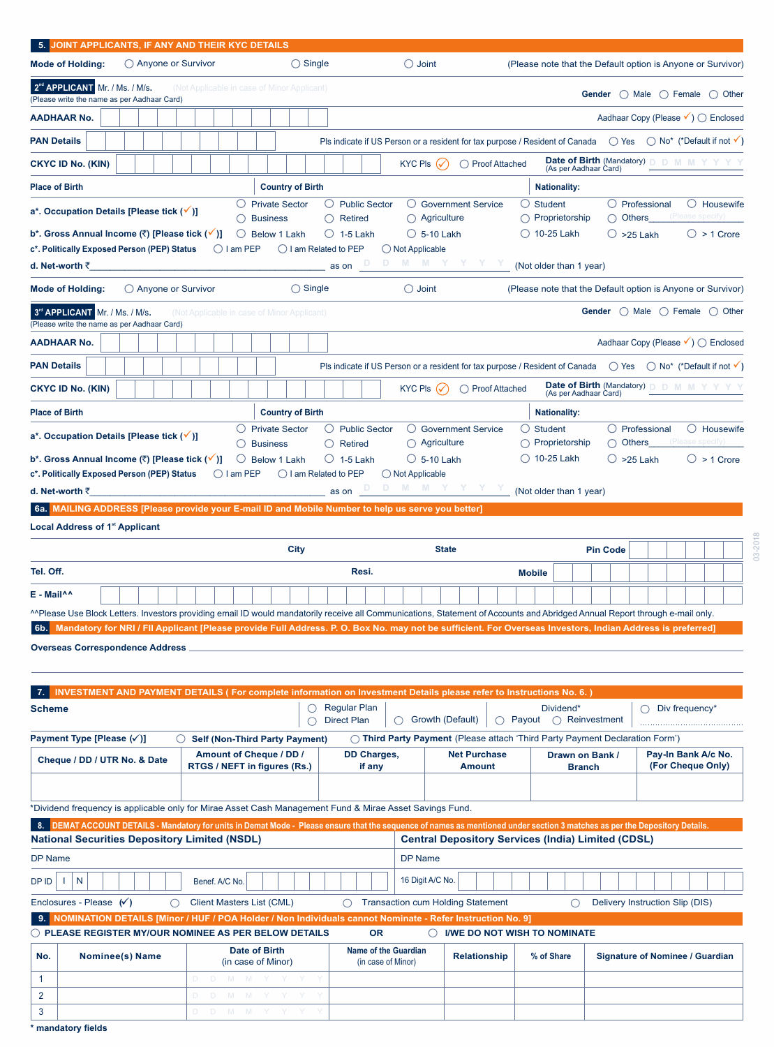| <b>Mode of Holding:</b>                                                                                                   |                                                                                            |                     |                                                                                                                                                                                                                                                                                     |                                                   |                                                                                                                                            |                                |                                                        |                                                                     |                                                                  |
|---------------------------------------------------------------------------------------------------------------------------|--------------------------------------------------------------------------------------------|---------------------|-------------------------------------------------------------------------------------------------------------------------------------------------------------------------------------------------------------------------------------------------------------------------------------|---------------------------------------------------|--------------------------------------------------------------------------------------------------------------------------------------------|--------------------------------|--------------------------------------------------------|---------------------------------------------------------------------|------------------------------------------------------------------|
|                                                                                                                           | $\bigcirc$ Anyone or Survivor                                                              |                     | $\bigcirc$ Single                                                                                                                                                                                                                                                                   |                                                   | $\bigcirc$ Joint                                                                                                                           |                                |                                                        |                                                                     | (Please note that the Default option is Anyone or Survivor)      |
| 2 <sup>nd</sup> APPLICANT Mr. / Ms. / M/s.                                                                                | (Please write the name as per Aadhaar Card)                                                |                     | (Not Applicable in case of Minor Applicant)                                                                                                                                                                                                                                         |                                                   |                                                                                                                                            |                                |                                                        |                                                                     | Gender $\bigcirc$ Male $\bigcirc$ Female $\bigcirc$ Other        |
| AADHAAR No.                                                                                                               |                                                                                            |                     |                                                                                                                                                                                                                                                                                     |                                                   |                                                                                                                                            |                                |                                                        |                                                                     | Aadhaar Copy (Please V) ◯ Enclosed                               |
| <b>PAN Details</b>                                                                                                        |                                                                                            |                     |                                                                                                                                                                                                                                                                                     |                                                   | Pls indicate if US Person or a resident for tax purpose / Resident of Canada $\bigcirc$ Yes $\bigcirc$ No* (*Default if not $\checkmark$ ) |                                |                                                        |                                                                     |                                                                  |
| <b>CKYC ID No. (KIN)</b>                                                                                                  |                                                                                            |                     |                                                                                                                                                                                                                                                                                     |                                                   | KYC Pls $(\checkmark)$                                                                                                                     | ◯ Proof Attached               | (As per Aadhaar Card)                                  | Date of Birth (Mandatory) D D M M Y Y                               |                                                                  |
| <b>Place of Birth</b>                                                                                                     |                                                                                            |                     | <b>Country of Birth</b>                                                                                                                                                                                                                                                             |                                                   |                                                                                                                                            |                                | <b>Nationality:</b>                                    |                                                                     |                                                                  |
|                                                                                                                           | a*. Occupation Details [Please tick (√)]                                                   |                     | $\bigcirc$ Private Sector                                                                                                                                                                                                                                                           | ◯ Public Sector<br>$\bigcirc$ Retired             | ◯ Government Service<br>$\bigcirc$ Agriculture                                                                                             | ○ Student                      | $\bigcap$ Proprietorship                               | $\bigcirc$ Professional<br><b>Others</b>                            | $\bigcirc$ Housewife<br>(Please specify)                         |
|                                                                                                                           | b*. Gross Annual Income (₹) [Please tick (✔)]                                              |                     | <b>Business</b><br>Ő<br>Below 1 Lakh                                                                                                                                                                                                                                                | $\bigcirc$ 1-5 Lakh                               | $\circ$ 5-10 Lakh                                                                                                                          |                                | () 10-25 Lakh                                          | $\bigcirc$ >25 Lakh                                                 | $\bigcirc$ > 1 Crore                                             |
|                                                                                                                           | c*. Politically Exposed Person (PEP) Status                                                | $\bigcirc$ I am PEP | ◯ I am Related to PEP                                                                                                                                                                                                                                                               |                                                   | $\bigcirc$ Not Applicable                                                                                                                  |                                |                                                        |                                                                     |                                                                  |
| d. Net-worth ₹                                                                                                            |                                                                                            |                     |                                                                                                                                                                                                                                                                                     | as on                                             | M M Y                                                                                                                                      |                                | (Not older than 1 year)                                |                                                                     |                                                                  |
| <b>Mode of Holding:</b>                                                                                                   | $\bigcirc$ Anyone or Survivor                                                              |                     | $\bigcirc$ Single                                                                                                                                                                                                                                                                   |                                                   | $\bigcirc$ Joint                                                                                                                           |                                |                                                        |                                                                     | (Please note that the Default option is Anyone or Survivor)      |
| 3 <sup>rd</sup> APPLICANT Mr. / Ms. / M/s.                                                                                | (Please write the name as per Aadhaar Card)                                                |                     | (Not Applicable in case of Minor Applicant)                                                                                                                                                                                                                                         |                                                   |                                                                                                                                            |                                |                                                        |                                                                     | <b>Gender</b> $\bigcirc$ Male $\bigcirc$ Female $\bigcirc$ Other |
| AADHAAR No.                                                                                                               |                                                                                            |                     |                                                                                                                                                                                                                                                                                     |                                                   |                                                                                                                                            |                                |                                                        |                                                                     | Aadhaar Copy (Please V) ○ Enclosed                               |
| <b>PAN Details</b>                                                                                                        |                                                                                            |                     |                                                                                                                                                                                                                                                                                     |                                                   | Pls indicate if US Person or a resident for tax purpose / Resident of Canada $\bigcirc$ Yes $\bigcirc$ No* (*Default if not $\checkmark$ ) |                                |                                                        |                                                                     |                                                                  |
| <b>CKYC ID No. (KIN)</b>                                                                                                  |                                                                                            |                     |                                                                                                                                                                                                                                                                                     |                                                   | KYC PIs $(\checkmark)$                                                                                                                     | ◯ Proof Attached               |                                                        | <b>Date of Birth (Mandatory) D D M M Y</b><br>(As per Aadhaar Card) |                                                                  |
| <b>Place of Birth</b>                                                                                                     |                                                                                            |                     | <b>Country of Birth</b>                                                                                                                                                                                                                                                             |                                                   |                                                                                                                                            |                                | <b>Nationality:</b>                                    |                                                                     |                                                                  |
|                                                                                                                           |                                                                                            |                     | $\circ$<br><b>Private Sector</b>                                                                                                                                                                                                                                                    | $\bigcirc$ Public Sector                          | $\bigcirc$ Government Service                                                                                                              | $\cup$ Student                 |                                                        | $\bigcirc$ Professional                                             | $\bigcirc$ Housewife                                             |
|                                                                                                                           | a*. Occupation Details [Please tick (√)]                                                   |                     | <b>Business</b>                                                                                                                                                                                                                                                                     | $\bigcirc$ Retired                                | $\bigcirc$ Agriculture                                                                                                                     |                                | ◯ Proprietorship                                       | ∩                                                                   | Others____(Please specify)                                       |
|                                                                                                                           | b*. Gross Annual Income (₹) [Please tick (√<br>c*. Politically Exposed Person (PEP) Status | $\bigcirc$ I am PEP | O<br>Below 1 Lakh<br>$\bigcirc$ I am Related to PEP                                                                                                                                                                                                                                 | $\bigcirc$ 1-5 Lakh                               | $\circ$ 5-10 Lakh<br>$\bigcirc$ Not Applicable                                                                                             |                                | $\bigcirc$ 10-25 Lakh                                  | $\bigcirc$ >25 Lakh                                                 | $\bigcirc$ > 1 Crore                                             |
| d. Net-worth ₹                                                                                                            |                                                                                            |                     |                                                                                                                                                                                                                                                                                     | as on                                             | M M Y Y Y Y                                                                                                                                |                                | (Not older than 1 year)                                |                                                                     |                                                                  |
|                                                                                                                           |                                                                                            |                     | 6a. MAILING ADDRESS [Please provide your E-mail ID and Mobile Number to help us serve you better]                                                                                                                                                                                   |                                                   |                                                                                                                                            |                                |                                                        |                                                                     |                                                                  |
|                                                                                                                           | <b>Local Address of 1<sup>st</sup> Applicant</b>                                           |                     |                                                                                                                                                                                                                                                                                     |                                                   |                                                                                                                                            |                                |                                                        |                                                                     |                                                                  |
|                                                                                                                           |                                                                                            |                     | City                                                                                                                                                                                                                                                                                |                                                   | <b>State</b>                                                                                                                               |                                |                                                        | <b>Pin Code</b>                                                     |                                                                  |
| Tel. Off.                                                                                                                 |                                                                                            |                     |                                                                                                                                                                                                                                                                                     | Resi.                                             |                                                                                                                                            | <b>Mobile</b>                  |                                                        |                                                                     |                                                                  |
|                                                                                                                           |                                                                                            |                     |                                                                                                                                                                                                                                                                                     |                                                   |                                                                                                                                            |                                |                                                        |                                                                     |                                                                  |
|                                                                                                                           |                                                                                            |                     |                                                                                                                                                                                                                                                                                     |                                                   |                                                                                                                                            |                                |                                                        |                                                                     |                                                                  |
|                                                                                                                           |                                                                                            |                     | ^^Please Use Block Letters. Investors providing email ID would mandatorily receive all Communications, Statement of Accounts and Abridged Annual Report through e-mail only.                                                                                                        |                                                   |                                                                                                                                            |                                |                                                        |                                                                     |                                                                  |
|                                                                                                                           |                                                                                            |                     | Mandatory for NRI / FII Applicant [Please provide Full Address. P. O. Box No. may not be sufficient. For Overseas Investors, Indian Address is preferred]                                                                                                                           |                                                   |                                                                                                                                            |                                |                                                        |                                                                     |                                                                  |
|                                                                                                                           | <b>Overseas Correspondence Address</b>                                                     |                     |                                                                                                                                                                                                                                                                                     |                                                   |                                                                                                                                            |                                |                                                        |                                                                     |                                                                  |
|                                                                                                                           |                                                                                            |                     |                                                                                                                                                                                                                                                                                     |                                                   |                                                                                                                                            |                                |                                                        |                                                                     |                                                                  |
|                                                                                                                           |                                                                                            |                     | <b>INVESTMENT AND PAYMENT DETAILS (For complete information on Investment Details please refer to Instructions No. 6.)</b>                                                                                                                                                          |                                                   |                                                                                                                                            |                                |                                                        |                                                                     |                                                                  |
|                                                                                                                           |                                                                                            |                     |                                                                                                                                                                                                                                                                                     | <b>Regular Plan</b><br><b>Direct Plan</b>         | ◯ Growth (Default)                                                                                                                         |                                | Dividend*<br>$\bigcirc$ Payout $\bigcirc$ Reinvestment | $\bigcirc$                                                          | Div frequency*                                                   |
|                                                                                                                           | O                                                                                          |                     | <b>Self (Non-Third Party Payment)</b>                                                                                                                                                                                                                                               |                                                   | O Third Party Payment (Please attach 'Third Party Payment Declaration Form')                                                               |                                |                                                        |                                                                     |                                                                  |
|                                                                                                                           | Cheque / DD / UTR No. & Date                                                               |                     | Amount of Cheque / DD /                                                                                                                                                                                                                                                             | <b>DD Charges,</b>                                |                                                                                                                                            | <b>Net Purchase</b>            | Drawn on Bank /                                        |                                                                     | Pay-In Bank A/c No.                                              |
|                                                                                                                           |                                                                                            |                     | RTGS / NEFT in figures (Rs.)                                                                                                                                                                                                                                                        | if any                                            |                                                                                                                                            | <b>Amount</b>                  | <b>Branch</b>                                          |                                                                     | (For Cheque Only)                                                |
|                                                                                                                           |                                                                                            |                     |                                                                                                                                                                                                                                                                                     |                                                   |                                                                                                                                            |                                |                                                        |                                                                     |                                                                  |
|                                                                                                                           |                                                                                            |                     | *Dividend frequency is applicable only for Mirae Asset Cash Management Fund & Mirae Asset Savings Fund.<br>DEMAT ACCOUNT DETAILS - Mandatory for units in Demat Mode - Please ensure that the sequence of names as mentioned under section 3 matches as per the Depository Details. |                                                   |                                                                                                                                            |                                |                                                        |                                                                     |                                                                  |
|                                                                                                                           | <b>National Securities Depository Limited (NSDL)</b>                                       |                     |                                                                                                                                                                                                                                                                                     |                                                   | <b>Central Depository Services (India) Limited (CDSL)</b>                                                                                  |                                |                                                        |                                                                     |                                                                  |
|                                                                                                                           |                                                                                            |                     |                                                                                                                                                                                                                                                                                     |                                                   | DP Name                                                                                                                                    |                                |                                                        |                                                                     |                                                                  |
| N<br>J.                                                                                                                   |                                                                                            | Benef. A/C No.      |                                                                                                                                                                                                                                                                                     |                                                   | 16 Digit A/C No.                                                                                                                           |                                |                                                        |                                                                     |                                                                  |
|                                                                                                                           | ∩                                                                                          |                     | Client Masters List (CML)                                                                                                                                                                                                                                                           | ∩                                                 | <b>Transaction cum Holding Statement</b>                                                                                                   |                                | ◯                                                      | Delivery Instruction Slip (DIS)                                     |                                                                  |
| 9.                                                                                                                        |                                                                                            |                     | NOMINATION DETAILS [Minor / HUF / POA Holder / Non Individuals cannot Nominate - Refer Instruction No. 9]                                                                                                                                                                           |                                                   |                                                                                                                                            |                                |                                                        |                                                                     |                                                                  |
| E - Mail^^<br>6b.<br><b>Scheme</b><br>Payment Type [Please (√)]<br>DP Name<br>DP ID<br>Enclosures - Please $(\checkmark)$ |                                                                                            |                     | $\bigcirc$ PLEASE REGISTER MY/OUR NOMINEE AS PER BELOW DETAILS                                                                                                                                                                                                                      | <b>OR</b>                                         |                                                                                                                                            | O I/WE DO NOT WISH TO NOMINATE |                                                        |                                                                     |                                                                  |
| No.                                                                                                                       | Nominee(s) Name                                                                            |                     | <b>Date of Birth</b><br>(in case of Minor)                                                                                                                                                                                                                                          | <b>Name of the Guardian</b><br>(in case of Minor) |                                                                                                                                            | <b>Relationship</b>            | % of Share                                             |                                                                     | Signature of Nominee / Guardian                                  |
| 1                                                                                                                         |                                                                                            |                     | D D M M Y Y Y                                                                                                                                                                                                                                                                       |                                                   |                                                                                                                                            |                                |                                                        |                                                                     |                                                                  |
| 2<br>3                                                                                                                    |                                                                                            | D D M M             | D D M M Y Y Y                                                                                                                                                                                                                                                                       |                                                   |                                                                                                                                            |                                |                                                        |                                                                     |                                                                  |

**\* mandatory fields**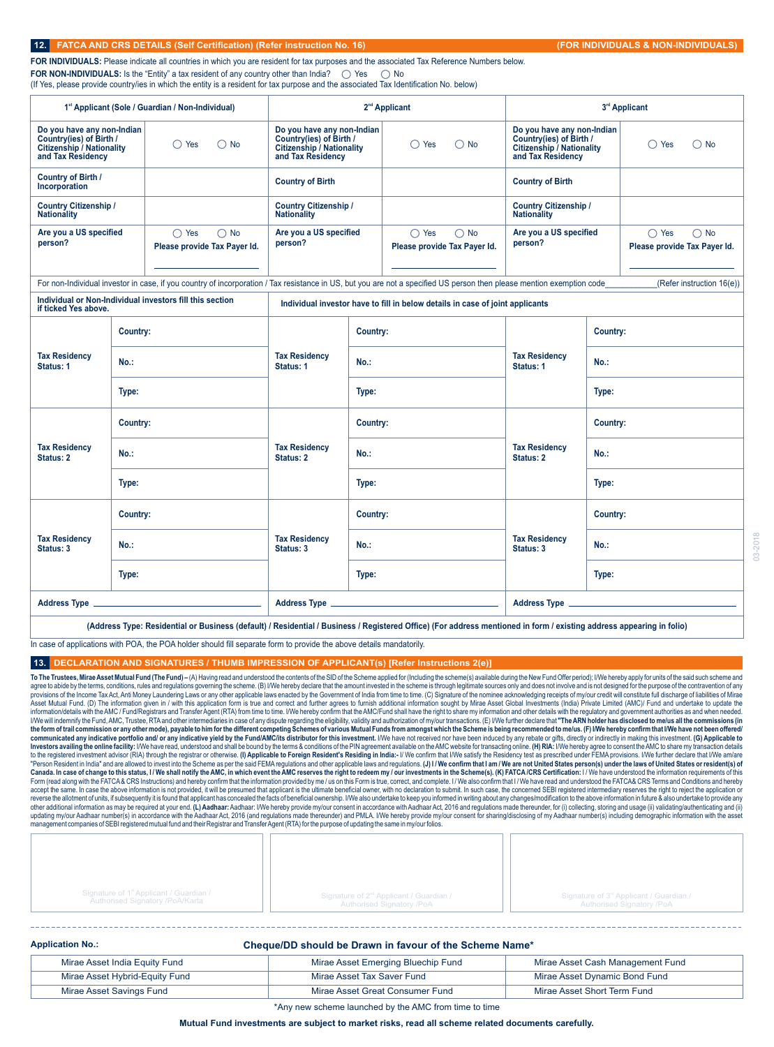|  | 12. FATCA AND CRS DETAILS (Self Certification) (Refer instruction No. 16) / |  |
|--|-----------------------------------------------------------------------------|--|
|--|-----------------------------------------------------------------------------|--|

**FOR INDIVIDUALS:** Please indicate all countries in which you are resident for tax purposes and the associated Tax Reference Numbers below. **FOR NON-INDIVIDUALS:** Is the "Entity" a tax resident of any country other than India?  $\bigcirc$  Yes  $\bigcirc$  No (If Yes, please provide country/ies in which the entity is a resident for tax purpose and the associated Tax Identification No. below)

|                                                                                                                |          | 1 <sup>st</sup> Applicant (Sole / Guardian / Non-Individual)    |                                                                                                                |          | 2 <sup>nd</sup> Applicant                                                                                                                                             |                                                                                                         | 3rd Applicant                                                   |
|----------------------------------------------------------------------------------------------------------------|----------|-----------------------------------------------------------------|----------------------------------------------------------------------------------------------------------------|----------|-----------------------------------------------------------------------------------------------------------------------------------------------------------------------|---------------------------------------------------------------------------------------------------------|-----------------------------------------------------------------|
| Do you have any non-Indian<br>Country(ies) of Birth /<br><b>Citizenship / Nationality</b><br>and Tax Residency |          | $\bigcirc$ Yes<br>$\bigcirc$ No                                 | Do you have any non-Indian<br>Country(ies) of Birth /<br><b>Citizenship / Nationality</b><br>and Tax Residency |          | $\bigcirc$ Yes<br>$\bigcirc$ No                                                                                                                                       | Do you have any non-Indian<br>Country(ies) of Birth /<br>Citizenship / Nationality<br>and Tax Residency | $\bigcirc$ No<br>$\bigcirc$ Yes                                 |
| Country of Birth /<br>Incorporation                                                                            |          |                                                                 | <b>Country of Birth</b>                                                                                        |          |                                                                                                                                                                       | <b>Country of Birth</b>                                                                                 |                                                                 |
| <b>Country Citizenship /</b><br><b>Nationality</b>                                                             |          |                                                                 | <b>Country Citizenship /</b><br><b>Nationality</b>                                                             |          |                                                                                                                                                                       | <b>Country Citizenship /</b><br><b>Nationality</b>                                                      |                                                                 |
| Are you a US specified<br>person?                                                                              |          | $\bigcirc$ Yes<br>$\bigcirc$ No<br>Please provide Tax Payer Id. | Are you a US specified<br>person?                                                                              |          | $\bigcirc$ Yes<br>$\bigcirc$ No<br>Please provide Tax Payer Id.                                                                                                       | Are you a US specified<br>person?                                                                       | $\bigcirc$ Yes<br>$\bigcirc$ No<br>Please provide Tax Payer Id. |
|                                                                                                                |          |                                                                 |                                                                                                                |          | For non-Individual investor in case, if you country of incorporation / Tax resistance in US, but you are not a specified US person then please mention exemption code |                                                                                                         | (Refer instruction 16(e))                                       |
| if ticked Yes above.                                                                                           |          | Individual or Non-Individual investors fill this section        |                                                                                                                |          | Individual investor have to fill in below details in case of joint applicants                                                                                         |                                                                                                         |                                                                 |
|                                                                                                                | Country: |                                                                 |                                                                                                                | Country: |                                                                                                                                                                       |                                                                                                         | Country:                                                        |
| <b>Tax Residency</b><br><b>Status: 1</b>                                                                       | No.:     |                                                                 | <b>Tax Residency</b><br>Status: 1                                                                              | $No.$ :  |                                                                                                                                                                       | <b>Tax Residency</b><br>Status: 1                                                                       | $No.$ :                                                         |
|                                                                                                                | Type:    |                                                                 |                                                                                                                | Type:    |                                                                                                                                                                       |                                                                                                         | Type:                                                           |
|                                                                                                                | Country: |                                                                 |                                                                                                                | Country: |                                                                                                                                                                       |                                                                                                         | Country:                                                        |
| <b>Tax Residency</b><br>Status: 2                                                                              | No.:     |                                                                 | <b>Tax Residency</b><br>Status: 2                                                                              | $No.$ :  |                                                                                                                                                                       | <b>Tax Residency</b><br>Status: 2                                                                       | $No.$ :                                                         |
|                                                                                                                | Type:    |                                                                 |                                                                                                                | Type:    |                                                                                                                                                                       |                                                                                                         | Type:                                                           |
|                                                                                                                | Country: |                                                                 |                                                                                                                | Country: |                                                                                                                                                                       |                                                                                                         | Country:                                                        |
| <b>Tax Residency</b><br>Status: 3                                                                              | No.:     |                                                                 | <b>Tax Residency</b><br>Status: 3                                                                              | $No.$ :  |                                                                                                                                                                       | <b>Tax Residency</b><br>Status: 3                                                                       | $No.$ :                                                         |
|                                                                                                                | Type:    |                                                                 |                                                                                                                | Type:    |                                                                                                                                                                       |                                                                                                         | Type:                                                           |
|                                                                                                                |          |                                                                 |                                                                                                                |          |                                                                                                                                                                       |                                                                                                         |                                                                 |

**(Address Type: Residential or Business (default) / Residential / Business / Registered Office) (For address mentioned in form / existing address appearing in folio)**

In case of applications with POA, the POA holder should fill separate form to provide the above details mandatorily.

### **13. DECLARATION AND SIGNATURES / THUMB IMPRESSION OF APPLICANT(s) [Refer Instructions 2(e)]**

To The Trustees, Mirae Asset Mutual Fund (The Fund) - (A) Having read and understood the contents of the SID of the Scheme applied for (Including the scheme(s) available during the New Fund Offer period); I/We hereby apply agree to abide by the terms, conditions, rules and regulations governing the scheme. (B) I/We hereby declare that the amount invested in the scheme is through legitimate sources only and does not involve and is not designe Asset Mutual Fund. (D) The information given in / with this application form is true and correct and further agrees to furnish additional information sought by Mirae Asset Global Investments (India) Private Limited (AMC)/ I/We will indemnify the Fund, AMC, Trustee, RTA and other intermediaries in case of any dispute regarding the eligibility, validity and authorization of my/our transactions. (E) I/We further declare that "The **ARN holder h** Form (read along with the FATCA& CRS Instructions) and hereby confirm that the information provided by me / us on this Form is true, correct, and complete. I / We also confirm that I/We have read and understood the FATCA& accept the same. In case the above information is not provided, it will be presumed that applicatio is the ultimate beneficial owner, with no declaration to submit. In such case, the concerned SEBI registered intermediary

| Signature of 1 <sup>st</sup> Applicant / Guardian / | Signature of 2 <sup>nd</sup> Applicant / Guardian / | Signature of 3 <sup>rd</sup> Applicant / Guardian / |
|-----------------------------------------------------|-----------------------------------------------------|-----------------------------------------------------|
| Authorised Signatory /PoA/Karta                     | Authorised Signatory /PoA                           | Authorised Signatory /PoA                           |

| <b>Application No.:</b>        | Cheque/DD should be Drawn in favour of the Scheme Name* |                                  |
|--------------------------------|---------------------------------------------------------|----------------------------------|
| Mirae Asset India Equity Fund  | Mirae Asset Emerging Bluechip Fund                      | Mirae Asset Cash Management Fund |
| Mirae Asset Hybrid-Equity Fund | Mirae Asset Tax Saver Fund                              | Mirae Asset Dynamic Bond Fund    |
| Mirae Asset Savings Fund       | Mirae Asset Great Consumer Fund                         | Mirae Asset Short Term Fund      |

\*Any new scheme launched by the AMC from time to time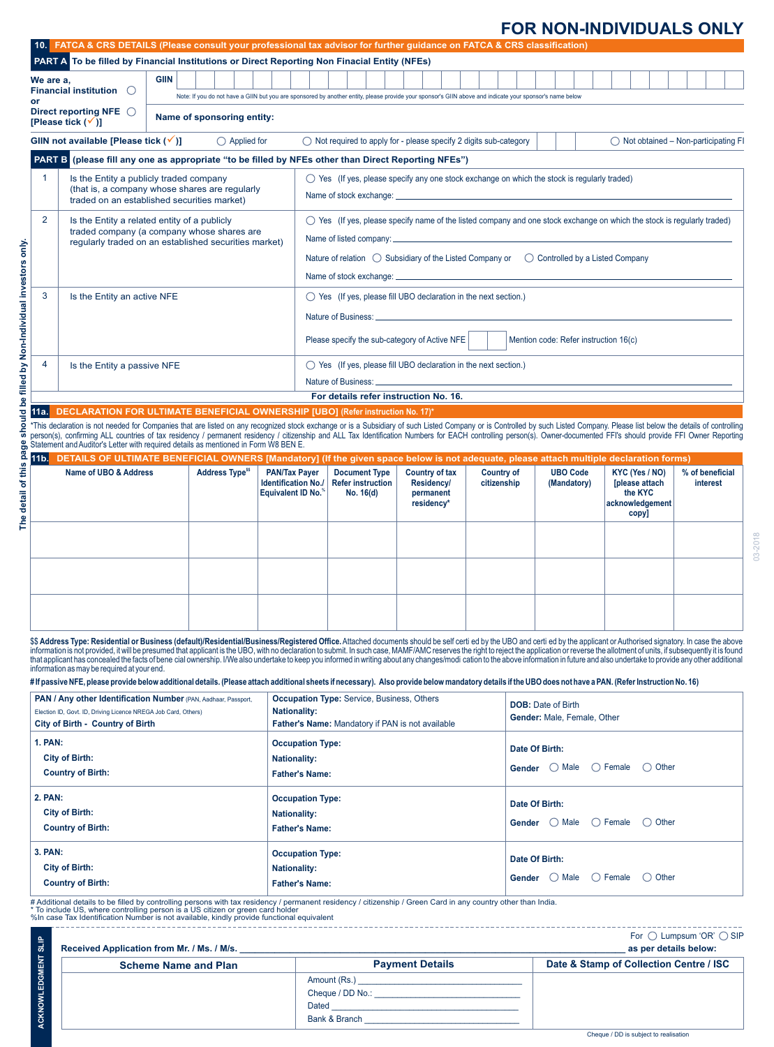## **FOR NON-INDIVIDUALS ONLY**

|                    |                                                                                                                                                                                                                                                                                                                                                                                                                                                                                                                                                                                                                                                                                                 |             |                                                                                                                                                                                                                       |                                                    |                                                                                                                                                          | PART A To be filled by Financial Institutions or Direct Reporting Non Finacial Entity (NFEs) |                                     |                                  |                           |                                       |                                                |         |                             |  |
|--------------------|-------------------------------------------------------------------------------------------------------------------------------------------------------------------------------------------------------------------------------------------------------------------------------------------------------------------------------------------------------------------------------------------------------------------------------------------------------------------------------------------------------------------------------------------------------------------------------------------------------------------------------------------------------------------------------------------------|-------------|-----------------------------------------------------------------------------------------------------------------------------------------------------------------------------------------------------------------------|----------------------------------------------------|----------------------------------------------------------------------------------------------------------------------------------------------------------|----------------------------------------------------------------------------------------------|-------------------------------------|----------------------------------|---------------------------|---------------------------------------|------------------------------------------------|---------|-----------------------------|--|
| We are a,          | Financial institution $\bigcirc$                                                                                                                                                                                                                                                                                                                                                                                                                                                                                                                                                                                                                                                                | <b>GIIN</b> |                                                                                                                                                                                                                       |                                                    |                                                                                                                                                          |                                                                                              |                                     |                                  |                           |                                       |                                                |         |                             |  |
|                    |                                                                                                                                                                                                                                                                                                                                                                                                                                                                                                                                                                                                                                                                                                 |             |                                                                                                                                                                                                                       |                                                    | Note: If you do not have a GIIN but you are sponsored by another entity, please provide your sponsor's GIIN above and indicate your sponsor's name below |                                                                                              |                                     |                                  |                           |                                       |                                                |         |                             |  |
|                    | Direct reporting NFE $\bigcirc$<br>[Please tick $(\checkmark)$ ]                                                                                                                                                                                                                                                                                                                                                                                                                                                                                                                                                                                                                                |             | Name of sponsoring entity:                                                                                                                                                                                            |                                                    |                                                                                                                                                          |                                                                                              |                                     |                                  |                           |                                       |                                                |         |                             |  |
|                    | GIIN not available [Please tick $(v')$ ]                                                                                                                                                                                                                                                                                                                                                                                                                                                                                                                                                                                                                                                        |             | $\bigcirc$ Applied for                                                                                                                                                                                                |                                                    | $\bigcirc$ Not required to apply for - please specify 2 digits sub-category                                                                              |                                                                                              |                                     |                                  |                           |                                       | $\bigcirc$ Not obtained – Non-participating FI |         |                             |  |
|                    | PART B (please fill any one as appropriate "to be filled by NFEs other than Direct Reporting NFEs")                                                                                                                                                                                                                                                                                                                                                                                                                                                                                                                                                                                             |             |                                                                                                                                                                                                                       |                                                    |                                                                                                                                                          |                                                                                              |                                     |                                  |                           |                                       |                                                |         |                             |  |
| $\mathbf{1}$       | Is the Entity a publicly traded company                                                                                                                                                                                                                                                                                                                                                                                                                                                                                                                                                                                                                                                         |             |                                                                                                                                                                                                                       |                                                    | $\bigcirc$ Yes (If yes, please specify any one stock exchange on which the stock is regularly traded)                                                    |                                                                                              |                                     |                                  |                           |                                       |                                                |         |                             |  |
|                    | (that is, a company whose shares are regularly<br>traded on an established securities market)                                                                                                                                                                                                                                                                                                                                                                                                                                                                                                                                                                                                   |             |                                                                                                                                                                                                                       |                                                    |                                                                                                                                                          |                                                                                              |                                     |                                  |                           |                                       |                                                |         |                             |  |
| 2                  | Is the Entity a related entity of a publicly                                                                                                                                                                                                                                                                                                                                                                                                                                                                                                                                                                                                                                                    |             |                                                                                                                                                                                                                       |                                                    | $\bigcirc$ Yes (If yes, please specify name of the listed company and one stock exchange on which the stock is regularly traded)                         |                                                                                              |                                     |                                  |                           |                                       |                                                |         |                             |  |
|                    | traded company (a company whose shares are<br>reqularly traded on an established securities market)                                                                                                                                                                                                                                                                                                                                                                                                                                                                                                                                                                                             |             |                                                                                                                                                                                                                       |                                                    | Name of listed company:                                                                                                                                  |                                                                                              |                                     |                                  |                           |                                       |                                                |         |                             |  |
|                    |                                                                                                                                                                                                                                                                                                                                                                                                                                                                                                                                                                                                                                                                                                 |             |                                                                                                                                                                                                                       |                                                    | Nature of relation $\bigcirc$ Subsidiary of the Listed Company or $\bigcirc$ Controlled by a Listed Company                                              |                                                                                              |                                     |                                  |                           |                                       |                                                |         |                             |  |
|                    |                                                                                                                                                                                                                                                                                                                                                                                                                                                                                                                                                                                                                                                                                                 |             |                                                                                                                                                                                                                       |                                                    | Name of stock exchange: __                                                                                                                               |                                                                                              |                                     |                                  |                           |                                       |                                                |         |                             |  |
| 3                  | Is the Entity an active NFE                                                                                                                                                                                                                                                                                                                                                                                                                                                                                                                                                                                                                                                                     |             |                                                                                                                                                                                                                       |                                                    | $\bigcirc$ Yes (If yes, please fill UBO declaration in the next section.)                                                                                |                                                                                              |                                     |                                  |                           |                                       |                                                |         |                             |  |
|                    |                                                                                                                                                                                                                                                                                                                                                                                                                                                                                                                                                                                                                                                                                                 |             |                                                                                                                                                                                                                       |                                                    |                                                                                                                                                          |                                                                                              |                                     |                                  |                           |                                       |                                                |         |                             |  |
|                    |                                                                                                                                                                                                                                                                                                                                                                                                                                                                                                                                                                                                                                                                                                 |             |                                                                                                                                                                                                                       |                                                    | Please specify the sub-category of Active NFE                                                                                                            |                                                                                              |                                     |                                  |                           | Mention code: Refer instruction 16(c) |                                                |         |                             |  |
|                    |                                                                                                                                                                                                                                                                                                                                                                                                                                                                                                                                                                                                                                                                                                 |             |                                                                                                                                                                                                                       |                                                    |                                                                                                                                                          |                                                                                              |                                     |                                  |                           |                                       |                                                |         |                             |  |
| 4                  | Is the Entity a passive NFE                                                                                                                                                                                                                                                                                                                                                                                                                                                                                                                                                                                                                                                                     |             |                                                                                                                                                                                                                       |                                                    | $\bigcirc$ Yes (If yes, please fill UBO declaration in the next section.)                                                                                |                                                                                              |                                     |                                  |                           |                                       |                                                |         |                             |  |
|                    |                                                                                                                                                                                                                                                                                                                                                                                                                                                                                                                                                                                                                                                                                                 |             |                                                                                                                                                                                                                       |                                                    | Nature of Business:                                                                                                                                      |                                                                                              |                                     |                                  |                           |                                       |                                                |         |                             |  |
| 11a.l              | DECLARATION FOR ULTIMATE BENEFICIAL OWNERSHIP [UBO] (Refer instruction No. 17)*                                                                                                                                                                                                                                                                                                                                                                                                                                                                                                                                                                                                                 |             |                                                                                                                                                                                                                       |                                                    | For details refer instruction No. 16.                                                                                                                    |                                                                                              |                                     |                                  |                           |                                       |                                                |         |                             |  |
|                    | *This declaration is not needed for Companies that are listed on any recognized stock exchange or is a Subsidiary of such Listed Company or is Controlled by such Listed Company. Please list below the details of controlling                                                                                                                                                                                                                                                                                                                                                                                                                                                                  |             |                                                                                                                                                                                                                       |                                                    |                                                                                                                                                          |                                                                                              |                                     |                                  |                           |                                       |                                                |         |                             |  |
|                    |                                                                                                                                                                                                                                                                                                                                                                                                                                                                                                                                                                                                                                                                                                 |             |                                                                                                                                                                                                                       |                                                    |                                                                                                                                                          |                                                                                              |                                     |                                  |                           |                                       |                                                |         |                             |  |
|                    | Statement and Auditor's Letter with required details as mentioned in Form W8 BEN E.<br>DETAILS OF ULTIMATE BENEFICIAL OWNERS [Mandatory] (If the given space below is not adequate, please attach multiple declaration forms)                                                                                                                                                                                                                                                                                                                                                                                                                                                                   |             | person(s), confirming ALL countries of tax residency / permanent residency / citizenship and ALL Tax Identification Numbers for EACH controlling person(s). Owner-documented FFI's should provide FFI Owner Reporting |                                                    |                                                                                                                                                          |                                                                                              |                                     |                                  |                           |                                       |                                                |         |                             |  |
|                    | Name of UBO & Address                                                                                                                                                                                                                                                                                                                                                                                                                                                                                                                                                                                                                                                                           |             | <b>Address Type<sup>55</sup></b>                                                                                                                                                                                      | <b>PAN/Tax Payer</b><br><b>Identification No./</b> | <b>Document Type</b><br><b>Refer instruction</b>                                                                                                         |                                                                                              | <b>Country of tax</b><br>Residency/ | <b>Country of</b><br>citizenship |                           | <b>UBO Code</b><br>(Mandatory)        | KYC (Yes / NO)<br><b>Inlease attach</b>        |         | % of beneficial<br>interest |  |
|                    |                                                                                                                                                                                                                                                                                                                                                                                                                                                                                                                                                                                                                                                                                                 |             |                                                                                                                                                                                                                       | <b>Equivalent ID No.</b>                           | No. 16(d)                                                                                                                                                |                                                                                              | permanent<br>residency*             |                                  |                           |                                       | the KYC<br>acknowledgement                     |         |                             |  |
|                    |                                                                                                                                                                                                                                                                                                                                                                                                                                                                                                                                                                                                                                                                                                 |             |                                                                                                                                                                                                                       |                                                    |                                                                                                                                                          |                                                                                              |                                     |                                  |                           |                                       | copy]                                          |         |                             |  |
|                    |                                                                                                                                                                                                                                                                                                                                                                                                                                                                                                                                                                                                                                                                                                 |             |                                                                                                                                                                                                                       |                                                    |                                                                                                                                                          |                                                                                              |                                     |                                  |                           |                                       |                                                |         |                             |  |
|                    |                                                                                                                                                                                                                                                                                                                                                                                                                                                                                                                                                                                                                                                                                                 |             |                                                                                                                                                                                                                       |                                                    |                                                                                                                                                          |                                                                                              |                                     |                                  |                           |                                       |                                                |         |                             |  |
|                    |                                                                                                                                                                                                                                                                                                                                                                                                                                                                                                                                                                                                                                                                                                 |             |                                                                                                                                                                                                                       |                                                    |                                                                                                                                                          |                                                                                              |                                     |                                  |                           |                                       |                                                |         |                             |  |
|                    |                                                                                                                                                                                                                                                                                                                                                                                                                                                                                                                                                                                                                                                                                                 |             |                                                                                                                                                                                                                       |                                                    |                                                                                                                                                          |                                                                                              |                                     |                                  |                           |                                       |                                                |         |                             |  |
|                    |                                                                                                                                                                                                                                                                                                                                                                                                                                                                                                                                                                                                                                                                                                 |             |                                                                                                                                                                                                                       |                                                    |                                                                                                                                                          |                                                                                              |                                     |                                  |                           |                                       |                                                |         |                             |  |
|                    |                                                                                                                                                                                                                                                                                                                                                                                                                                                                                                                                                                                                                                                                                                 |             |                                                                                                                                                                                                                       |                                                    |                                                                                                                                                          |                                                                                              |                                     |                                  |                           |                                       |                                                |         |                             |  |
|                    | \$\$ Address Type: Residential or Business (default)/Residential/Business/Registered Office. Attached documents should be self certi ed by the UBO and certi ed by the applicant or Authorised signatory. In case the above<br>information is not provided, it will be presumed that applicant is the UBO, with no declaration to submit. In such case, MAMF/AMC reserves the right to reject the application or reverse the allotment of units, if subsequen<br>that applicant has concealed the facts of bene cial ownership. I/We also undertake to keep you informed in writing about any changes/modi cation to the above information in future and also undertake to provide any other ad |             |                                                                                                                                                                                                                       |                                                    |                                                                                                                                                          |                                                                                              |                                     |                                  |                           |                                       |                                                |         |                             |  |
|                    | information as may be required at your end.<br>#If passive NFE, please provide below additional details. (Please attach additional sheets if necessary). Also provide below mandatory details if the UBO does not have a PAN. (Refer Instruction No. 16)                                                                                                                                                                                                                                                                                                                                                                                                                                        |             |                                                                                                                                                                                                                       |                                                    |                                                                                                                                                          |                                                                                              |                                     |                                  |                           |                                       |                                                |         |                             |  |
|                    | PAN / Any other Identification Number (PAN, Aadhaar, Passport,                                                                                                                                                                                                                                                                                                                                                                                                                                                                                                                                                                                                                                  |             |                                                                                                                                                                                                                       |                                                    | <b>Occupation Type:</b> Service, Business, Others                                                                                                        |                                                                                              |                                     |                                  |                           |                                       |                                                |         |                             |  |
| 11b.               | Election ID, Govt. ID, Driving Licence NREGA Job Card, Others)                                                                                                                                                                                                                                                                                                                                                                                                                                                                                                                                                                                                                                  |             |                                                                                                                                                                                                                       | <b>Nationality:</b>                                |                                                                                                                                                          |                                                                                              |                                     |                                  | <b>DOB:</b> Date of Birth | Gender: Male, Female, Other           |                                                |         |                             |  |
|                    | <b>City of Birth - Country of Birth</b>                                                                                                                                                                                                                                                                                                                                                                                                                                                                                                                                                                                                                                                         |             |                                                                                                                                                                                                                       |                                                    | Father's Name: Mandatory if PAN is not available                                                                                                         |                                                                                              |                                     |                                  |                           |                                       |                                                |         |                             |  |
| <b>1. PAN:</b>     |                                                                                                                                                                                                                                                                                                                                                                                                                                                                                                                                                                                                                                                                                                 |             |                                                                                                                                                                                                                       | <b>Occupation Type:</b>                            |                                                                                                                                                          |                                                                                              |                                     |                                  | Date Of Birth:            |                                       |                                                |         |                             |  |
|                    | <b>City of Birth:</b><br><b>Country of Birth:</b>                                                                                                                                                                                                                                                                                                                                                                                                                                                                                                                                                                                                                                               |             |                                                                                                                                                                                                                       | <b>Nationality:</b><br><b>Father's Name:</b>       |                                                                                                                                                          |                                                                                              |                                     |                                  | Gender $\bigcirc$ Male    |                                       | ( ) Female                                     | ◯ Other |                             |  |
|                    |                                                                                                                                                                                                                                                                                                                                                                                                                                                                                                                                                                                                                                                                                                 |             |                                                                                                                                                                                                                       |                                                    |                                                                                                                                                          |                                                                                              |                                     |                                  |                           |                                       |                                                |         |                             |  |
|                    |                                                                                                                                                                                                                                                                                                                                                                                                                                                                                                                                                                                                                                                                                                 |             |                                                                                                                                                                                                                       | <b>Occupation Type:</b>                            |                                                                                                                                                          |                                                                                              |                                     |                                  | Date Of Birth:            |                                       |                                                |         |                             |  |
|                    | <b>City of Birth:</b><br><b>Country of Birth:</b>                                                                                                                                                                                                                                                                                                                                                                                                                                                                                                                                                                                                                                               |             |                                                                                                                                                                                                                       | <b>Nationality:</b><br><b>Father's Name:</b>       |                                                                                                                                                          |                                                                                              |                                     |                                  | Gender $\bigcirc$ Male    |                                       | $\bigcirc$ Female                              | ◯ Other |                             |  |
|                    |                                                                                                                                                                                                                                                                                                                                                                                                                                                                                                                                                                                                                                                                                                 |             |                                                                                                                                                                                                                       |                                                    |                                                                                                                                                          |                                                                                              |                                     |                                  |                           |                                       |                                                |         |                             |  |
|                    |                                                                                                                                                                                                                                                                                                                                                                                                                                                                                                                                                                                                                                                                                                 |             |                                                                                                                                                                                                                       | <b>Occupation Type:</b>                            |                                                                                                                                                          |                                                                                              |                                     |                                  | Date Of Birth:            |                                       |                                                |         |                             |  |
| 2. PAN:<br>3. PAN: | <b>City of Birth:</b><br><b>Country of Birth:</b>                                                                                                                                                                                                                                                                                                                                                                                                                                                                                                                                                                                                                                               |             |                                                                                                                                                                                                                       | <b>Nationality:</b><br><b>Father's Name:</b>       |                                                                                                                                                          |                                                                                              |                                     |                                  | Gender ( Male             |                                       | $\bigcirc$ Female                              | ◯ Other |                             |  |

| ಹ                         | Received Application from Mr. / Ms. / M/s. |                                                            | $\overline{1}$ U $\overline{1}$ Lumpsum UN $\overline{1}$ U or<br>as per details below: |
|---------------------------|--------------------------------------------|------------------------------------------------------------|-----------------------------------------------------------------------------------------|
|                           | <b>Scheme Name and Plan</b>                | <b>Payment Details</b>                                     | Date & Stamp of Collection Centre / ISC                                                 |
| <b>WLEDGMENT</b><br>CKNON |                                            | Amount (Rs.)<br>Cheque / DD No.:<br>Dated<br>Bank & Branch |                                                                                         |

Cheque / DD is subject to realisation